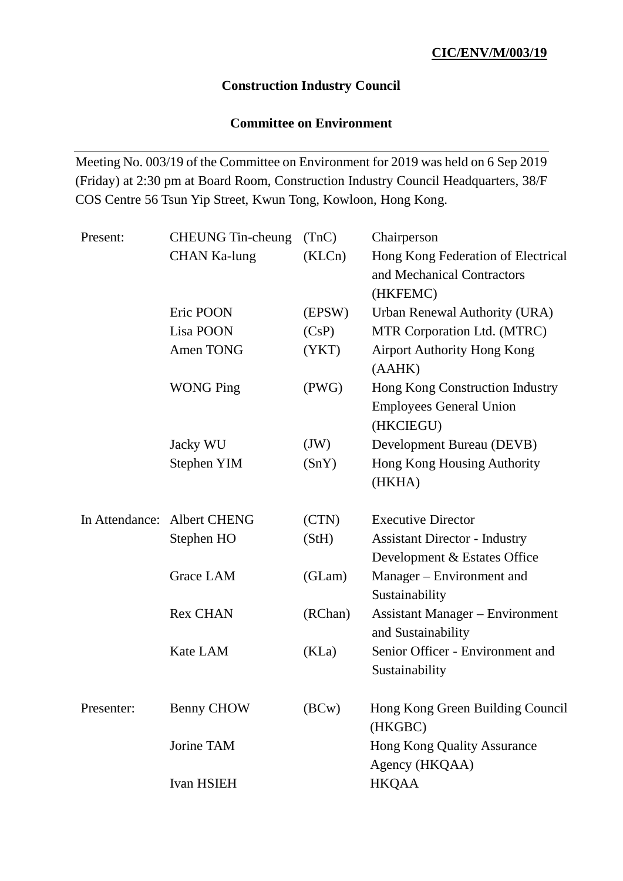## **Construction Industry Council**

# **Committee on Environment**

Meeting No. 003/19 of the Committee on Environment for 2019 was held on 6 Sep 2019 (Friday) at 2:30 pm at Board Room, Construction Industry Council Headquarters, 38/F COS Centre 56 Tsun Yip Street, Kwun Tong, Kowloon, Hong Kong.

| Hong Kong Federation of Electrical     |
|----------------------------------------|
| and Mechanical Contractors             |
|                                        |
| <b>Urban Renewal Authority (URA)</b>   |
| MTR Corporation Ltd. (MTRC)            |
| <b>Airport Authority Hong Kong</b>     |
| Hong Kong Construction Industry        |
| <b>Employees General Union</b>         |
|                                        |
| Development Bureau (DEVB)              |
| Hong Kong Housing Authority            |
|                                        |
|                                        |
| <b>Assistant Director - Industry</b>   |
| Development & Estates Office           |
| Manager – Environment and              |
|                                        |
| <b>Assistant Manager – Environment</b> |
|                                        |
| Senior Officer - Environment and       |
|                                        |
| Hong Kong Green Building Council       |
|                                        |
| <b>Hong Kong Quality Assurance</b>     |
|                                        |
|                                        |
|                                        |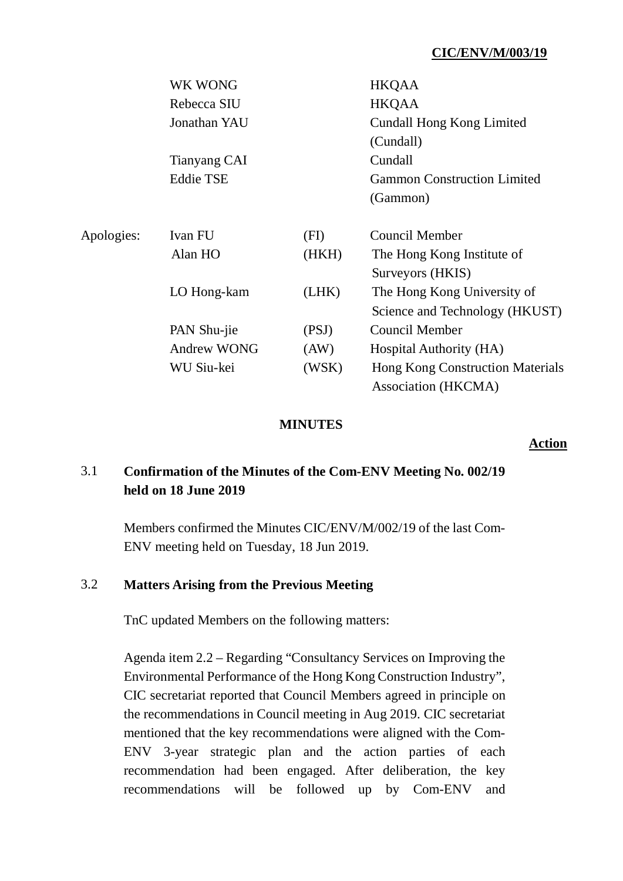## **CIC/ENV/M/003/19**

|            | WK WONG            |       | <b>HKQAA</b>                            |
|------------|--------------------|-------|-----------------------------------------|
|            | Rebecca SIU        |       | <b>HKQAA</b>                            |
|            | Jonathan YAU       |       | Cundall Hong Kong Limited               |
|            |                    |       | (Cundall)                               |
|            | Tianyang CAI       |       | Cundall                                 |
|            | <b>Eddie TSE</b>   |       | <b>Gammon Construction Limited</b>      |
|            |                    |       | (Gammon)                                |
| Apologies: | Ivan FU            | (FI)  | Council Member                          |
|            | Alan HO            | (HKH) | The Hong Kong Institute of              |
|            |                    |       | Surveyors (HKIS)                        |
|            | LO Hong-kam        | (LHK) | The Hong Kong University of             |
|            |                    |       | Science and Technology (HKUST)          |
|            | PAN Shu-jie        | (PSJ) | <b>Council Member</b>                   |
|            | <b>Andrew WONG</b> | (AW)  | Hospital Authority (HA)                 |
|            | WU Siu-kei         | (WSK) | <b>Hong Kong Construction Materials</b> |
|            |                    |       | Association (HKCMA)                     |

#### **MINUTES**

**Action**

# 3.1 **Confirmation of the Minutes of the Com-ENV Meeting No. 002/19 held on 18 June 2019**

Members confirmed the Minutes CIC/ENV/M/002/19 of the last Com-ENV meeting held on Tuesday, 18 Jun 2019.

### 3.2 **Matters Arising from the Previous Meeting**

TnC updated Members on the following matters:

Agenda item 2.2 – Regarding "Consultancy Services on Improving the Environmental Performance of the Hong Kong Construction Industry", CIC secretariat reported that Council Members agreed in principle on the recommendations in Council meeting in Aug 2019. CIC secretariat mentioned that the key recommendations were aligned with the Com-ENV 3-year strategic plan and the action parties of each recommendation had been engaged. After deliberation, the key recommendations will be followed up by Com-ENV and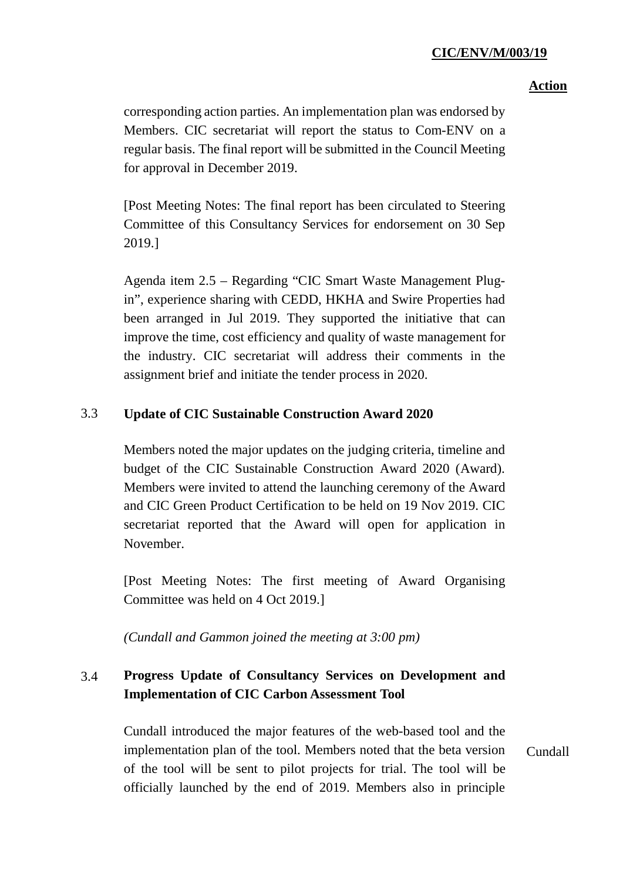### **CIC/ENV/M/003/19**

#### **Action**

corresponding action parties. An implementation plan was endorsed by Members. CIC secretariat will report the status to Com-ENV on a regular basis. The final report will be submitted in the Council Meeting for approval in December 2019.

[Post Meeting Notes: The final report has been circulated to Steering Committee of this Consultancy Services for endorsement on 30 Sep 2019.]

Agenda item 2.5 – Regarding "CIC Smart Waste Management Plugin", experience sharing with CEDD, HKHA and Swire Properties had been arranged in Jul 2019. They supported the initiative that can improve the time, cost efficiency and quality of waste management for the industry. CIC secretariat will address their comments in the assignment brief and initiate the tender process in 2020.

### 3.3 **Update of CIC Sustainable Construction Award 2020**

Members noted the major updates on the judging criteria, timeline and budget of the CIC Sustainable Construction Award 2020 (Award). Members were invited to attend the launching ceremony of the Award and CIC Green Product Certification to be held on 19 Nov 2019. CIC secretariat reported that the Award will open for application in November.

[Post Meeting Notes: The first meeting of Award Organising Committee was held on 4 Oct 2019.]

*(Cundall and Gammon joined the meeting at 3:00 pm)*

# 3.4 **Progress Update of Consultancy Services on Development and Implementation of CIC Carbon Assessment Tool**

Cundall introduced the major features of the web-based tool and the implementation plan of the tool. Members noted that the beta version of the tool will be sent to pilot projects for trial. The tool will be officially launched by the end of 2019. Members also in principle Cundall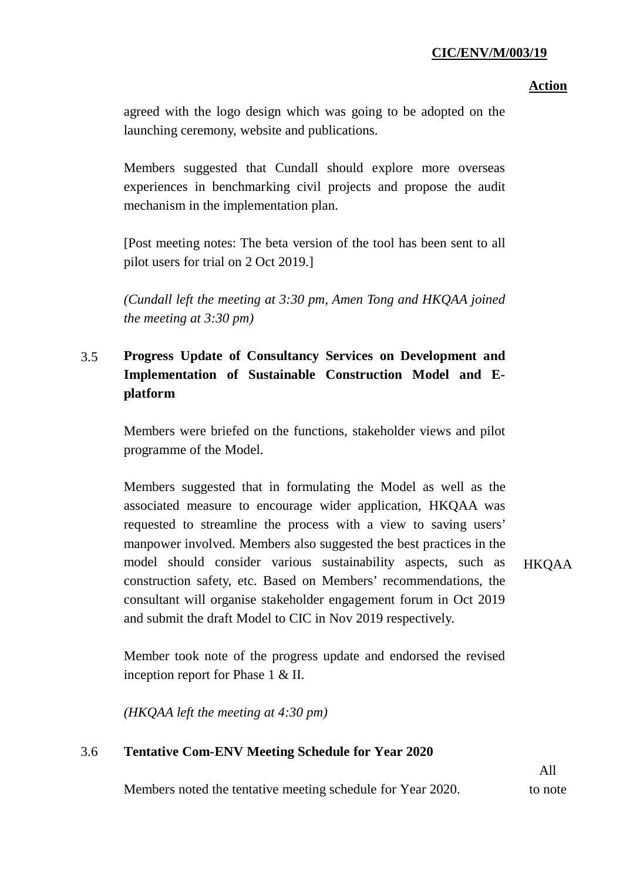### **CIC/ENV/M/003/19**

### **Action**

agreed with the logo design which was going to be adopted on the launching ceremony, website and publications.

Members suggested that Cundall should explore more overseas experiences in benchmarking civil projects and propose the audit mechanism in the implementation plan.

[Post meeting notes: The beta version of the tool has been sent to all pilot users for trial on 2 Oct 2019.]

*(Cundall left the meeting at 3:30 pm, Amen Tong and HKQAA joined the meeting at 3:30 pm)*

# 3.5 **Progress Update of Consultancy Services on Development and Implementation of Sustainable Construction Model and Eplatform**

Members were briefed on the functions, stakeholder views and pilot programme of the Model.

Members suggested that in formulating the Model as well as the associated measure to encourage wider application, HKQAA was requested to streamline the process with a view to saving users' manpower involved. Members also suggested the best practices in the model should consider various sustainability aspects, such as construction safety, etc. Based on Members' recommendations, the consultant will organise stakeholder engagement forum in Oct 2019 and submit the draft Model to CIC in Nov 2019 respectively.

HKQAA

Member took note of the progress update and endorsed the revised inception report for Phase 1 & II.

*(HKQAA left the meeting at 4:30 pm)*

### 3.6 **Tentative Com-ENV Meeting Schedule for Year 2020**

Members noted the tentative meeting schedule for Year 2020.

All to note